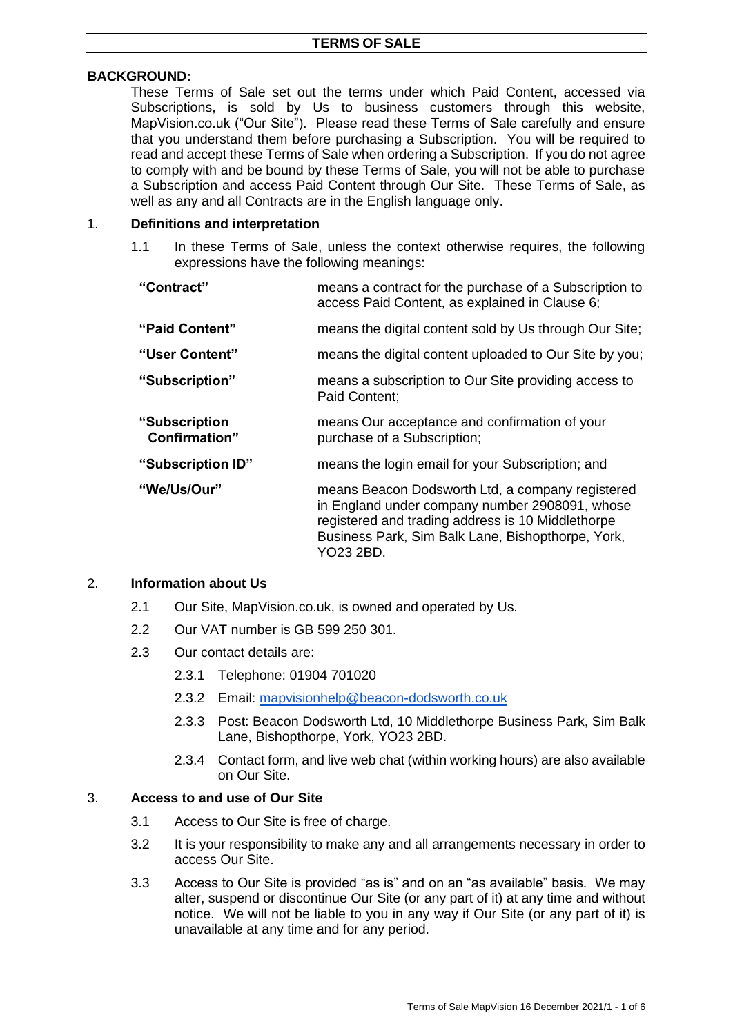#### **BACKGROUND:**

These Terms of Sale set out the terms under which Paid Content, accessed via Subscriptions, is sold by Us to business customers through this website, MapVision.co.uk ("Our Site"). Please read these Terms of Sale carefully and ensure that you understand them before purchasing a Subscription. You will be required to read and accept these Terms of Sale when ordering a Subscription. If you do not agree to comply with and be bound by these Terms of Sale, you will not be able to purchase a Subscription and access Paid Content through Our Site. These Terms of Sale, as well as any and all Contracts are in the English language only.

#### 1. **Definitions and interpretation**

1.1 In these Terms of Sale, unless the context otherwise requires, the following expressions have the following meanings:

| "Contract"                            | means a contract for the purchase of a Subscription to<br>access Paid Content, as explained in Clause 6;                                                                                                                  |
|---------------------------------------|---------------------------------------------------------------------------------------------------------------------------------------------------------------------------------------------------------------------------|
| "Paid Content"                        | means the digital content sold by Us through Our Site;                                                                                                                                                                    |
| "User Content"                        | means the digital content uploaded to Our Site by you;                                                                                                                                                                    |
| "Subscription"                        | means a subscription to Our Site providing access to<br>Paid Content:                                                                                                                                                     |
| "Subscription<br><b>Confirmation"</b> | means Our acceptance and confirmation of your<br>purchase of a Subscription;                                                                                                                                              |
| "Subscription ID"                     | means the login email for your Subscription; and                                                                                                                                                                          |
| "We/Us/Our"                           | means Beacon Dodsworth Ltd, a company registered<br>in England under company number 2908091, whose<br>registered and trading address is 10 Middlethorpe<br>Business Park, Sim Balk Lane, Bishopthorpe, York,<br>YO23 2BD. |

#### 2. **Information about Us**

- 2.1 Our Site, MapVision.co.uk, is owned and operated by Us.
- 2.2 Our VAT number is GB 599 250 301.
- 2.3 Our contact details are:
	- 2.3.1 Telephone: 01904 701020
	- 2.3.2 Email: [mapvisionhelp@beacon-dodsworth.co.uk](mailto:mapvisionhelp@beaconb-dodsworth.co.uk)
	- 2.3.3 Post: Beacon Dodsworth Ltd, 10 Middlethorpe Business Park, Sim Balk Lane, Bishopthorpe, York, YO23 2BD.
	- 2.3.4 Contact form, and live web chat (within working hours) are also available on Our Site.

#### 3. **Access to and use of Our Site**

- 3.1 Access to Our Site is free of charge.
- 3.2 It is your responsibility to make any and all arrangements necessary in order to access Our Site.
- 3.3 Access to Our Site is provided "as is" and on an "as available" basis. We may alter, suspend or discontinue Our Site (or any part of it) at any time and without notice. We will not be liable to you in any way if Our Site (or any part of it) is unavailable at any time and for any period.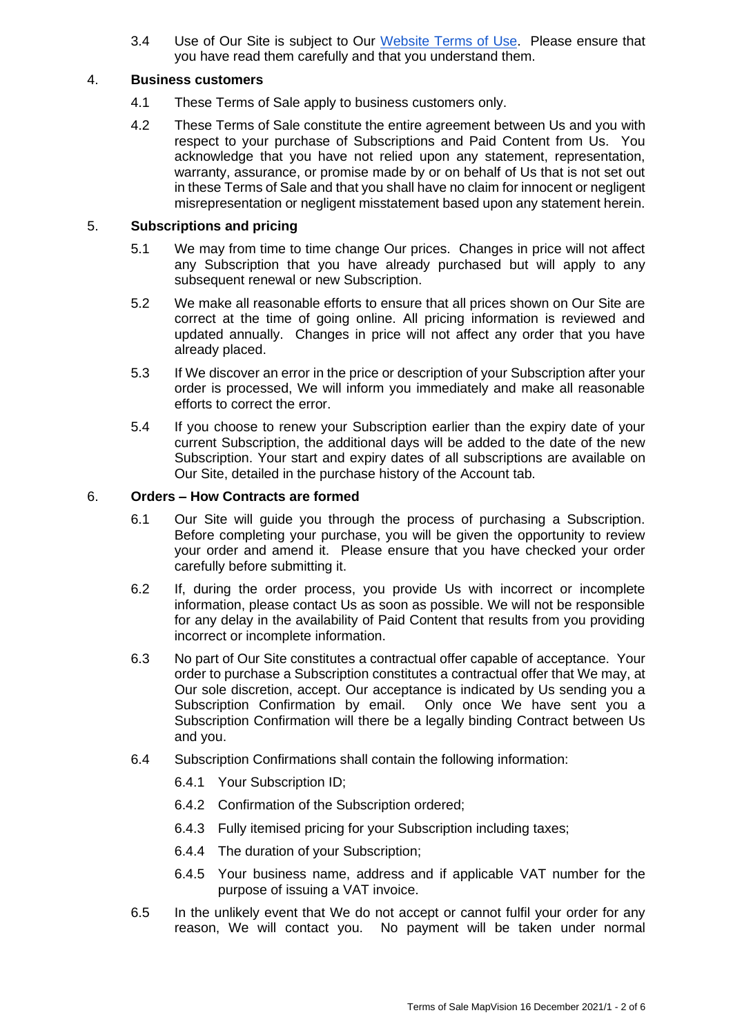3.4 Use of Our Site is subject to Our [Website Terms of Use.](https://beacon-dodsworth.co.uk/footer/legal/) Please ensure that you have read them carefully and that you understand them.

### 4. **Business customers**

- 4.1 These Terms of Sale apply to business customers only.
- 4.2 These Terms of Sale constitute the entire agreement between Us and you with respect to your purchase of Subscriptions and Paid Content from Us. You acknowledge that you have not relied upon any statement, representation, warranty, assurance, or promise made by or on behalf of Us that is not set out in these Terms of Sale and that you shall have no claim for innocent or negligent misrepresentation or negligent misstatement based upon any statement herein.

# 5. **Subscriptions and pricing**

- 5.1 We may from time to time change Our prices. Changes in price will not affect any Subscription that you have already purchased but will apply to any subsequent renewal or new Subscription.
- 5.2 We make all reasonable efforts to ensure that all prices shown on Our Site are correct at the time of going online. All pricing information is reviewed and updated annually. Changes in price will not affect any order that you have already placed.
- 5.3 If We discover an error in the price or description of your Subscription after your order is processed, We will inform you immediately and make all reasonable efforts to correct the error.
- 5.4 If you choose to renew your Subscription earlier than the expiry date of your current Subscription, the additional days will be added to the date of the new Subscription. Your start and expiry dates of all subscriptions are available on Our Site, detailed in the purchase history of the Account tab.

## 6. **Orders – How Contracts are formed**

- 6.1 Our Site will guide you through the process of purchasing a Subscription. Before completing your purchase, you will be given the opportunity to review your order and amend it. Please ensure that you have checked your order carefully before submitting it.
- 6.2 If, during the order process, you provide Us with incorrect or incomplete information, please contact Us as soon as possible. We will not be responsible for any delay in the availability of Paid Content that results from you providing incorrect or incomplete information.
- 6.3 No part of Our Site constitutes a contractual offer capable of acceptance. Your order to purchase a Subscription constitutes a contractual offer that We may, at Our sole discretion, accept. Our acceptance is indicated by Us sending you a Subscription Confirmation by email. Only once We have sent you a Subscription Confirmation will there be a legally binding Contract between Us and you.
- 6.4 Subscription Confirmations shall contain the following information:
	- 6.4.1 Your Subscription ID;
	- 6.4.2 Confirmation of the Subscription ordered;
	- 6.4.3 Fully itemised pricing for your Subscription including taxes;
	- 6.4.4 The duration of your Subscription;
	- 6.4.5 Your business name, address and if applicable VAT number for the purpose of issuing a VAT invoice.
- 6.5 In the unlikely event that We do not accept or cannot fulfil your order for any reason, We will contact you. No payment will be taken under normal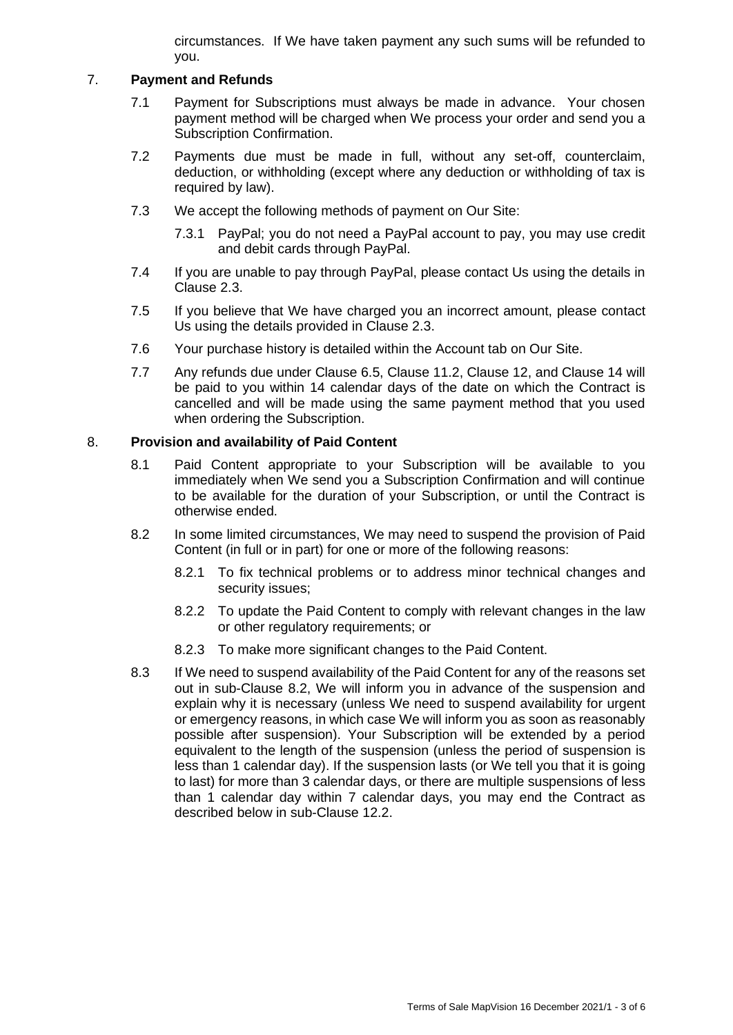circumstances. If We have taken payment any such sums will be refunded to you.

## 7. **Payment and Refunds**

- 7.1 Payment for Subscriptions must always be made in advance. Your chosen payment method will be charged when We process your order and send you a Subscription Confirmation.
- 7.2 Payments due must be made in full, without any set-off, counterclaim, deduction, or withholding (except where any deduction or withholding of tax is required by law).
- 7.3 We accept the following methods of payment on Our Site:
	- 7.3.1 PayPal; you do not need a PayPal account to pay, you may use credit and debit cards through PayPal.
- 7.4 If you are unable to pay through PayPal, please contact Us using the details in Clause 2.3.
- 7.5 If you believe that We have charged you an incorrect amount, please contact Us using the details provided in Clause 2.3.
- 7.6 Your purchase history is detailed within the Account tab on Our Site.
- 7.7 Any refunds due under Clause 6.5, Clause 11.2, Clause 12, and Clause 14 will be paid to you within 14 calendar days of the date on which the Contract is cancelled and will be made using the same payment method that you used when ordering the Subscription.

# 8. **Provision and availability of Paid Content**

- 8.1 Paid Content appropriate to your Subscription will be available to you immediately when We send you a Subscription Confirmation and will continue to be available for the duration of your Subscription, or until the Contract is otherwise ended.
- 8.2 In some limited circumstances, We may need to suspend the provision of Paid Content (in full or in part) for one or more of the following reasons:
	- 8.2.1 To fix technical problems or to address minor technical changes and security issues;
	- 8.2.2 To update the Paid Content to comply with relevant changes in the law or other regulatory requirements; or
	- 8.2.3 To make more significant changes to the Paid Content.
- 8.3 If We need to suspend availability of the Paid Content for any of the reasons set out in sub-Clause 8.2, We will inform you in advance of the suspension and explain why it is necessary (unless We need to suspend availability for urgent or emergency reasons, in which case We will inform you as soon as reasonably possible after suspension). Your Subscription will be extended by a period equivalent to the length of the suspension (unless the period of suspension is less than 1 calendar day). If the suspension lasts (or We tell you that it is going to last) for more than 3 calendar days, or there are multiple suspensions of less than 1 calendar day within 7 calendar days, you may end the Contract as described below in sub-Clause 12.2.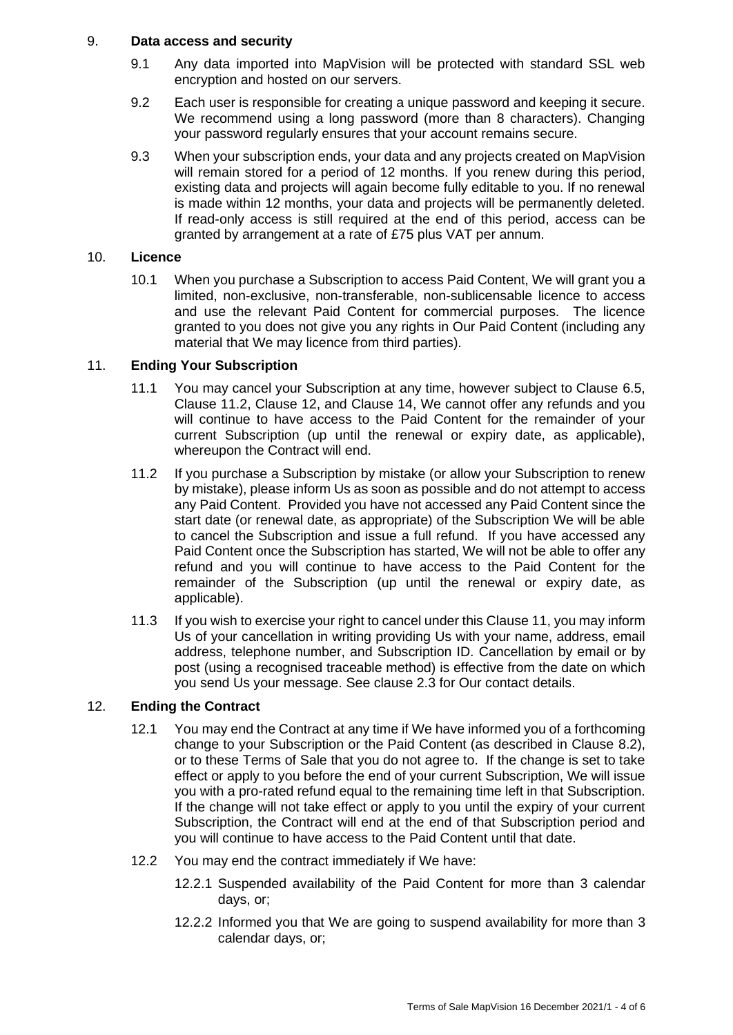## 9. **Data access and security**

- 9.1 Any data imported into MapVision will be protected with standard SSL web encryption and hosted on our servers.
- 9.2 Each user is responsible for creating a unique password and keeping it secure. We recommend using a long password (more than 8 characters). Changing your password regularly ensures that your account remains secure.
- 9.3 When your subscription ends, your data and any projects created on MapVision will remain stored for a period of 12 months. If you renew during this period, existing data and projects will again become fully editable to you. If no renewal is made within 12 months, your data and projects will be permanently deleted. If read-only access is still required at the end of this period, access can be granted by arrangement at a rate of £75 plus VAT per annum.

# 10. **Licence**

10.1 When you purchase a Subscription to access Paid Content, We will grant you a limited, non-exclusive, non-transferable, non-sublicensable licence to access and use the relevant Paid Content for commercial purposes. The licence granted to you does not give you any rights in Our Paid Content (including any material that We may licence from third parties).

# 11. **Ending Your Subscription**

- 11.1 You may cancel your Subscription at any time, however subject to Clause 6.5, Clause 11.2, Clause 12, and Clause 14, We cannot offer any refunds and you will continue to have access to the Paid Content for the remainder of your current Subscription (up until the renewal or expiry date, as applicable), whereupon the Contract will end.
- 11.2 If you purchase a Subscription by mistake (or allow your Subscription to renew by mistake), please inform Us as soon as possible and do not attempt to access any Paid Content. Provided you have not accessed any Paid Content since the start date (or renewal date, as appropriate) of the Subscription We will be able to cancel the Subscription and issue a full refund. If you have accessed any Paid Content once the Subscription has started, We will not be able to offer any refund and you will continue to have access to the Paid Content for the remainder of the Subscription (up until the renewal or expiry date, as applicable).
- 11.3 If you wish to exercise your right to cancel under this Clause 11, you may inform Us of your cancellation in writing providing Us with your name, address, email address, telephone number, and Subscription ID. Cancellation by email or by post (using a recognised traceable method) is effective from the date on which you send Us your message. See clause 2.3 for Our contact details.

# 12. **Ending the Contract**

- 12.1 You may end the Contract at any time if We have informed you of a forthcoming change to your Subscription or the Paid Content (as described in Clause 8.2), or to these Terms of Sale that you do not agree to. If the change is set to take effect or apply to you before the end of your current Subscription, We will issue you with a pro-rated refund equal to the remaining time left in that Subscription. If the change will not take effect or apply to you until the expiry of your current Subscription, the Contract will end at the end of that Subscription period and you will continue to have access to the Paid Content until that date.
- 12.2 You may end the contract immediately if We have:
	- 12.2.1 Suspended availability of the Paid Content for more than 3 calendar days, or;
	- 12.2.2 Informed you that We are going to suspend availability for more than 3 calendar days, or;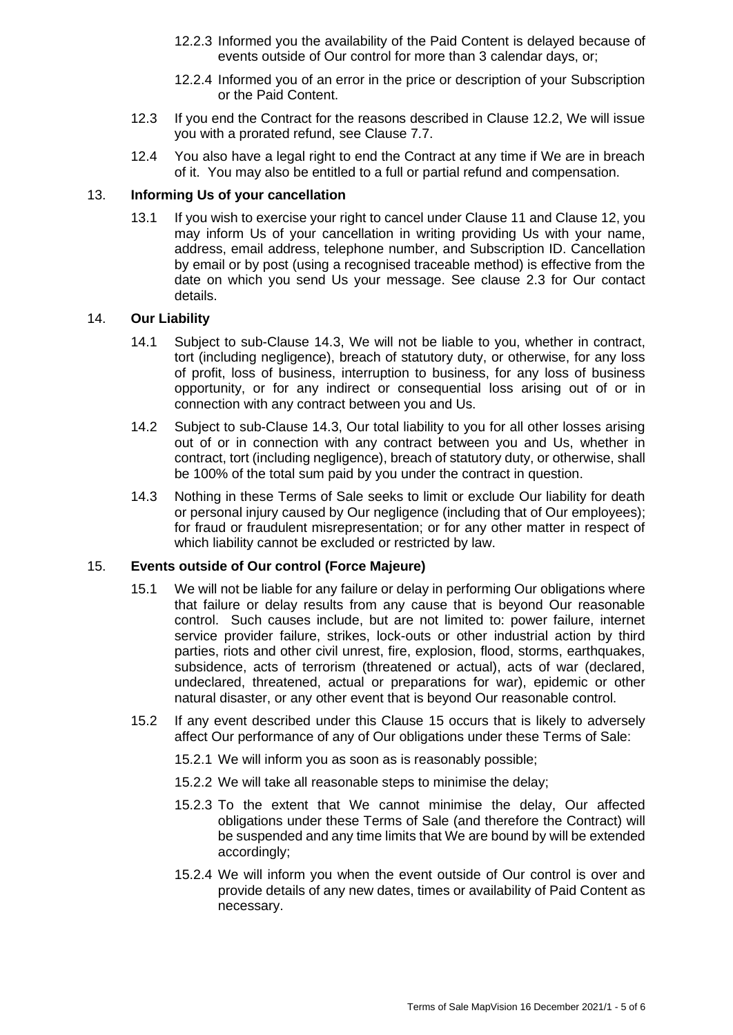- 12.2.3 Informed you the availability of the Paid Content is delayed because of events outside of Our control for more than 3 calendar days, or;
- 12.2.4 Informed you of an error in the price or description of your Subscription or the Paid Content.
- 12.3 If you end the Contract for the reasons described in Clause 12.2, We will issue you with a prorated refund, see Clause 7.7.
- 12.4 You also have a legal right to end the Contract at any time if We are in breach of it. You may also be entitled to a full or partial refund and compensation.

## 13. **Informing Us of your cancellation**

13.1 If you wish to exercise your right to cancel under Clause 11 and Clause 12, you may inform Us of your cancellation in writing providing Us with your name, address, email address, telephone number, and Subscription ID. Cancellation by email or by post (using a recognised traceable method) is effective from the date on which you send Us your message. See clause 2.3 for Our contact details.

#### 14. **Our Liability**

- 14.1 Subject to sub-Clause 14.3, We will not be liable to you, whether in contract, tort (including negligence), breach of statutory duty, or otherwise, for any loss of profit, loss of business, interruption to business, for any loss of business opportunity, or for any indirect or consequential loss arising out of or in connection with any contract between you and Us.
- 14.2 Subject to sub-Clause 14.3, Our total liability to you for all other losses arising out of or in connection with any contract between you and Us, whether in contract, tort (including negligence), breach of statutory duty, or otherwise, shall be 100% of the total sum paid by you under the contract in question.
- 14.3 Nothing in these Terms of Sale seeks to limit or exclude Our liability for death or personal injury caused by Our negligence (including that of Our employees); for fraud or fraudulent misrepresentation; or for any other matter in respect of which liability cannot be excluded or restricted by law.

# 15. **Events outside of Our control (Force Majeure)**

- 15.1 We will not be liable for any failure or delay in performing Our obligations where that failure or delay results from any cause that is beyond Our reasonable control. Such causes include, but are not limited to: power failure, internet service provider failure, strikes, lock-outs or other industrial action by third parties, riots and other civil unrest, fire, explosion, flood, storms, earthquakes, subsidence, acts of terrorism (threatened or actual), acts of war (declared, undeclared, threatened, actual or preparations for war), epidemic or other natural disaster, or any other event that is beyond Our reasonable control.
- 15.2 If any event described under this Clause 15 occurs that is likely to adversely affect Our performance of any of Our obligations under these Terms of Sale:
	- 15.2.1 We will inform you as soon as is reasonably possible;
	- 15.2.2 We will take all reasonable steps to minimise the delay;
	- 15.2.3 To the extent that We cannot minimise the delay, Our affected obligations under these Terms of Sale (and therefore the Contract) will be suspended and any time limits that We are bound by will be extended accordingly;
	- 15.2.4 We will inform you when the event outside of Our control is over and provide details of any new dates, times or availability of Paid Content as necessary.